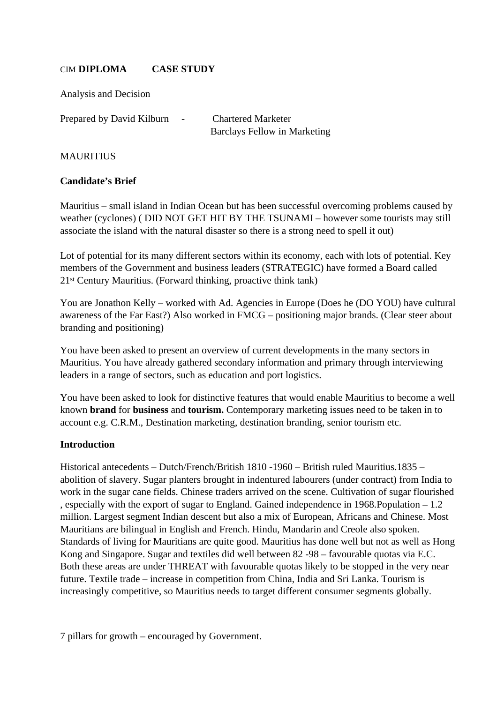### CIM **DIPLOMA CASE STUDY**

Analysis and Decision

Prepared by David Kilburn - Chartered Marketer

Barclays Fellow in Marketing

### MAURITIUS

### **Candidate's Brief**

Mauritius – small island in Indian Ocean but has been successful overcoming problems caused by weather (cyclones) ( DID NOT GET HIT BY THE TSUNAMI – however some tourists may still associate the island with the natural disaster so there is a strong need to spell it out)

Lot of potential for its many different sectors within its economy, each with lots of potential. Key members of the Government and business leaders (STRATEGIC) have formed a Board called 21st Century Mauritius. (Forward thinking, proactive think tank)

You are Jonathon Kelly – worked with Ad. Agencies in Europe (Does he (DO YOU) have cultural awareness of the Far East?) Also worked in FMCG – positioning major brands. (Clear steer about branding and positioning)

You have been asked to present an overview of current developments in the many sectors in Mauritius. You have already gathered secondary information and primary through interviewing leaders in a range of sectors, such as education and port logistics.

You have been asked to look for distinctive features that would enable Mauritius to become a well known **brand** for **business** and **tourism.** Contemporary marketing issues need to be taken in to account e.g. C.R.M., Destination marketing, destination branding, senior tourism etc.

### **Introduction**

Historical antecedents – Dutch/French/British 1810 -1960 – British ruled Mauritius.1835 – abolition of slavery. Sugar planters brought in indentured labourers (under contract) from India to work in the sugar cane fields. Chinese traders arrived on the scene. Cultivation of sugar flourished , especially with the export of sugar to England. Gained independence in 1968.Population – 1.2 million. Largest segment Indian descent but also a mix of European, Africans and Chinese. Most Mauritians are bilingual in English and French. Hindu, Mandarin and Creole also spoken. Standards of living for Mauritians are quite good. Mauritius has done well but not as well as Hong Kong and Singapore. Sugar and textiles did well between 82 -98 – favourable quotas via E.C. Both these areas are under THREAT with favourable quotas likely to be stopped in the very near future. Textile trade – increase in competition from China, India and Sri Lanka. Tourism is increasingly competitive, so Mauritius needs to target different consumer segments globally.

7 pillars for growth – encouraged by Government.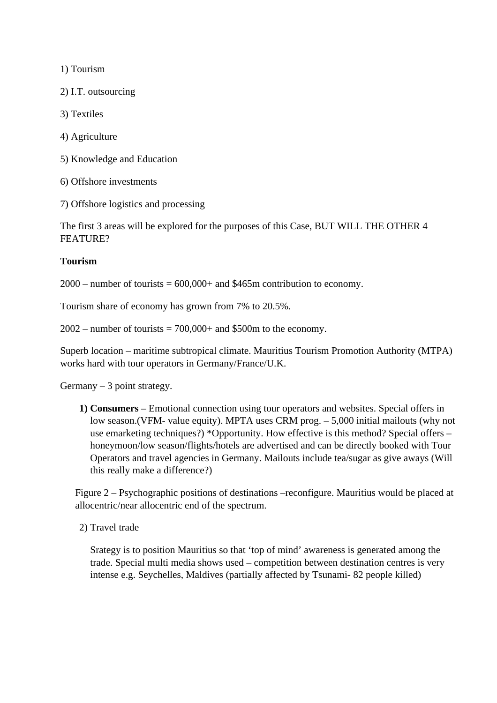1) Tourism

2) I.T. outsourcing

3) Textiles

- 4) Agriculture
- 5) Knowledge and Education
- 6) Offshore investments
- 7) Offshore logistics and processing

The first 3 areas will be explored for the purposes of this Case, BUT WILL THE OTHER 4 FEATURE?

#### **Tourism**

 $2000$  – number of tourists =  $600,000+$  and \$465m contribution to economy.

Tourism share of economy has grown from 7% to 20.5%.

 $2002$  – number of tourists = 700,000+ and \$500m to the economy.

Superb location – maritime subtropical climate. Mauritius Tourism Promotion Authority (MTPA) works hard with tour operators in Germany/France/U.K.

 $Germany - 3 point strategy.$ 

**1) Consumers** – Emotional connection using tour operators and websites. Special offers in low season.(VFM- value equity). MPTA uses CRM prog. – 5,000 initial mailouts (why not use emarketing techniques?) \*Opportunity. How effective is this method? Special offers – honeymoon/low season/flights/hotels are advertised and can be directly booked with Tour Operators and travel agencies in Germany. Mailouts include tea/sugar as give aways (Will this really make a difference?)

Figure 2 – Psychographic positions of destinations –reconfigure. Mauritius would be placed at allocentric/near allocentric end of the spectrum.

2) Travel trade

Srategy is to position Mauritius so that 'top of mind' awareness is generated among the trade. Special multi media shows used – competition between destination centres is very intense e.g. Seychelles, Maldives (partially affected by Tsunami- 82 people killed)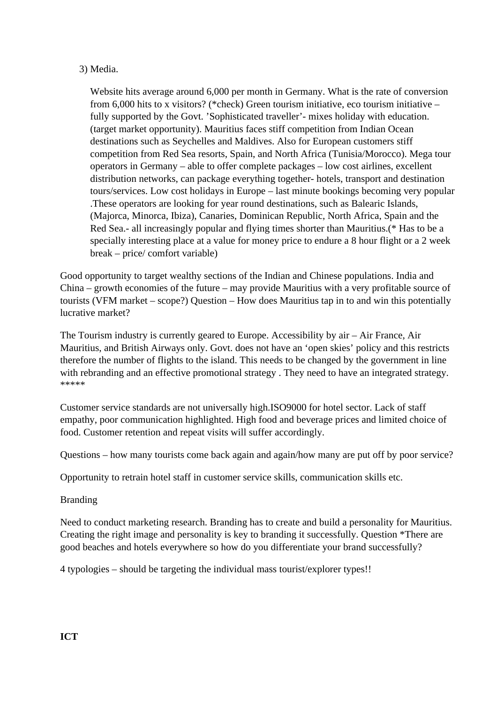#### 3) Media.

Website hits average around 6,000 per month in Germany. What is the rate of conversion from 6,000 hits to x visitors? (\*check) Green tourism initiative, eco tourism initiative – fully supported by the Govt. 'Sophisticated traveller'- mixes holiday with education. (target market opportunity). Mauritius faces stiff competition from Indian Ocean destinations such as Seychelles and Maldives. Also for European customers stiff competition from Red Sea resorts, Spain, and North Africa (Tunisia/Morocco). Mega tour operators in Germany – able to offer complete packages – low cost airlines, excellent distribution networks, can package everything together- hotels, transport and destination tours/services. Low cost holidays in Europe – last minute bookings becoming very popular .These operators are looking for year round destinations, such as Balearic Islands, (Majorca, Minorca, Ibiza), Canaries, Dominican Republic, North Africa, Spain and the Red Sea.- all increasingly popular and flying times shorter than Mauritius.(\* Has to be a specially interesting place at a value for money price to endure a 8 hour flight or a 2 week break – price/ comfort variable)

Good opportunity to target wealthy sections of the Indian and Chinese populations. India and China – growth economies of the future – may provide Mauritius with a very profitable source of tourists (VFM market – scope?) Question – How does Mauritius tap in to and win this potentially lucrative market?

The Tourism industry is currently geared to Europe. Accessibility by air – Air France, Air Mauritius, and British Airways only. Govt. does not have an 'open skies' policy and this restricts therefore the number of flights to the island. This needs to be changed by the government in line with rebranding and an effective promotional strategy. They need to have an integrated strategy. \*\*\*\*\*

Customer service standards are not universally high.ISO9000 for hotel sector. Lack of staff empathy, poor communication highlighted. High food and beverage prices and limited choice of food. Customer retention and repeat visits will suffer accordingly.

Questions – how many tourists come back again and again/how many are put off by poor service?

Opportunity to retrain hotel staff in customer service skills, communication skills etc.

### Branding

Need to conduct marketing research. Branding has to create and build a personality for Mauritius. Creating the right image and personality is key to branding it successfully. Question \*There are good beaches and hotels everywhere so how do you differentiate your brand successfully?

4 typologies – should be targeting the individual mass tourist/explorer types!!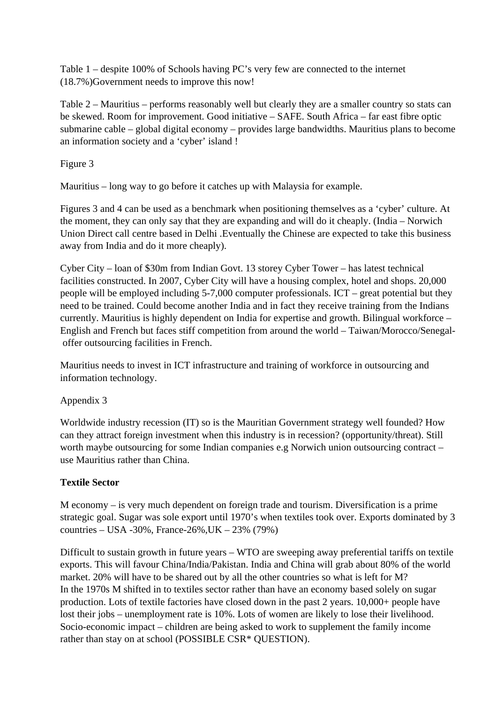Table 1 – despite 100% of Schools having PC's very few are connected to the internet (18.7%)Government needs to improve this now!

Table 2 – Mauritius – performs reasonably well but clearly they are a smaller country so stats can be skewed. Room for improvement. Good initiative – SAFE. South Africa – far east fibre optic submarine cable – global digital economy – provides large bandwidths. Mauritius plans to become an information society and a 'cyber' island !

Figure 3

Mauritius – long way to go before it catches up with Malaysia for example.

Figures 3 and 4 can be used as a benchmark when positioning themselves as a 'cyber' culture. At the moment, they can only say that they are expanding and will do it cheaply. (India – Norwich Union Direct call centre based in Delhi .Eventually the Chinese are expected to take this business away from India and do it more cheaply).

Cyber City – loan of \$30m from Indian Govt. 13 storey Cyber Tower – has latest technical facilities constructed. In 2007, Cyber City will have a housing complex, hotel and shops. 20,000 people will be employed including 5-7,000 computer professionals. ICT – great potential but they need to be trained. Could become another India and in fact they receive training from the Indians currently. Mauritius is highly dependent on India for expertise and growth. Bilingual workforce – English and French but faces stiff competition from around the world – Taiwan/Morocco/Senegal offer outsourcing facilities in French.

Mauritius needs to invest in ICT infrastructure and training of workforce in outsourcing and information technology.

Appendix 3

Worldwide industry recession (IT) so is the Mauritian Government strategy well founded? How can they attract foreign investment when this industry is in recession? (opportunity/threat). Still worth maybe outsourcing for some Indian companies e.g Norwich union outsourcing contract – use Mauritius rather than China.

# **Textile Sector**

M economy – is very much dependent on foreign trade and tourism. Diversification is a prime strategic goal. Sugar was sole export until 1970's when textiles took over. Exports dominated by 3 countries – USA -30%, France-26%,UK – 23% (79%)

Difficult to sustain growth in future years – WTO are sweeping away preferential tariffs on textile exports. This will favour China/India/Pakistan. India and China will grab about 80% of the world market. 20% will have to be shared out by all the other countries so what is left for M? In the 1970s M shifted in to textiles sector rather than have an economy based solely on sugar production. Lots of textile factories have closed down in the past 2 years. 10,000+ people have lost their jobs – unemployment rate is 10%. Lots of women are likely to lose their livelihood. Socio-economic impact – children are being asked to work to supplement the family income rather than stay on at school (POSSIBLE CSR\* QUESTION).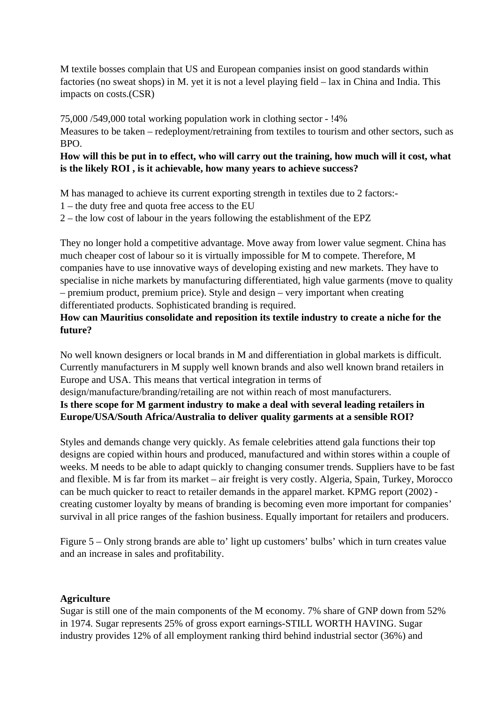M textile bosses complain that US and European companies insist on good standards within factories (no sweat shops) in M. yet it is not a level playing field – lax in China and India. This impacts on costs.(CSR)

75,000 /549,000 total working population work in clothing sector - !4%

Measures to be taken – redeployment/retraining from textiles to tourism and other sectors, such as BPO.

## **How will this be put in to effect, who will carry out the training, how much will it cost, what is the likely ROI , is it achievable, how many years to achieve success?**

M has managed to achieve its current exporting strength in textiles due to 2 factors:-

- 1 the duty free and quota free access to the EU
- 2 the low cost of labour in the years following the establishment of the EPZ

They no longer hold a competitive advantage. Move away from lower value segment. China has much cheaper cost of labour so it is virtually impossible for M to compete. Therefore, M companies have to use innovative ways of developing existing and new markets. They have to specialise in niche markets by manufacturing differentiated, high value garments (move to quality – premium product, premium price). Style and design – very important when creating differentiated products. Sophisticated branding is required.

## **How can Mauritius consolidate and reposition its textile industry to create a niche for the future?**

No well known designers or local brands in M and differentiation in global markets is difficult. Currently manufacturers in M supply well known brands and also well known brand retailers in Europe and USA. This means that vertical integration in terms of

design/manufacture/branding/retailing are not within reach of most manufacturers.

**Is there scope for M garment industry to make a deal with several leading retailers in Europe/USA/South Africa/Australia to deliver quality garments at a sensible ROI?**

Styles and demands change very quickly. As female celebrities attend gala functions their top designs are copied within hours and produced, manufactured and within stores within a couple of weeks. M needs to be able to adapt quickly to changing consumer trends. Suppliers have to be fast and flexible. M is far from its market – air freight is very costly. Algeria, Spain, Turkey, Morocco can be much quicker to react to retailer demands in the apparel market. KPMG report (2002) creating customer loyalty by means of branding is becoming even more important for companies' survival in all price ranges of the fashion business. Equally important for retailers and producers.

Figure 5 – Only strong brands are able to' light up customers' bulbs' which in turn creates value and an increase in sales and profitability.

# **Agriculture**

Sugar is still one of the main components of the M economy. 7% share of GNP down from 52% in 1974. Sugar represents 25% of gross export earnings-STILL WORTH HAVING. Sugar industry provides 12% of all employment ranking third behind industrial sector (36%) and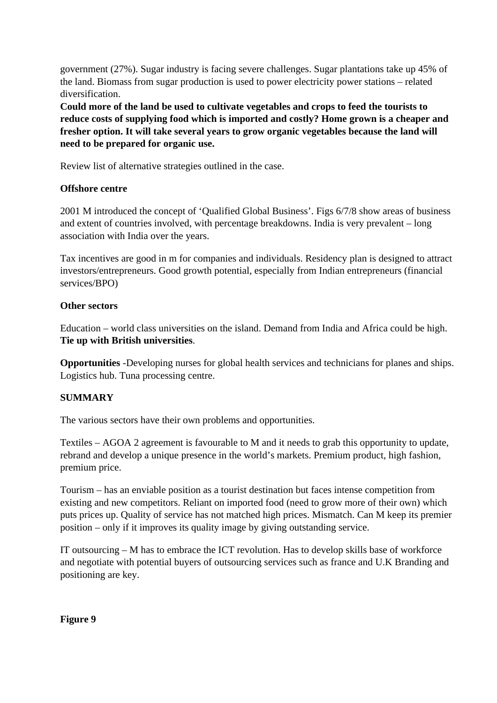government (27%). Sugar industry is facing severe challenges. Sugar plantations take up 45% of the land. Biomass from sugar production is used to power electricity power stations – related diversification.

**Could more of the land be used to cultivate vegetables and crops to feed the tourists to reduce costs of supplying food which is imported and costly? Home grown is a cheaper and fresher option. It will take several years to grow organic vegetables because the land will need to be prepared for organic use.**

Review list of alternative strategies outlined in the case.

## **Offshore centre**

2001 M introduced the concept of 'Qualified Global Business'. Figs 6/7/8 show areas of business and extent of countries involved, with percentage breakdowns. India is very prevalent – long association with India over the years.

Tax incentives are good in m for companies and individuals. Residency plan is designed to attract investors/entrepreneurs. Good growth potential, especially from Indian entrepreneurs (financial services/BPO)

## **Other sectors**

Education – world class universities on the island. Demand from India and Africa could be high. **Tie up with British universities**.

**Opportunities** -Developing nurses for global health services and technicians for planes and ships. Logistics hub. Tuna processing centre.

# **SUMMARY**

The various sectors have their own problems and opportunities.

Textiles – AGOA 2 agreement is favourable to M and it needs to grab this opportunity to update, rebrand and develop a unique presence in the world's markets. Premium product, high fashion, premium price.

Tourism – has an enviable position as a tourist destination but faces intense competition from existing and new competitors. Reliant on imported food (need to grow more of their own) which puts prices up. Quality of service has not matched high prices. Mismatch. Can M keep its premier position – only if it improves its quality image by giving outstanding service.

IT outsourcing – M has to embrace the ICT revolution. Has to develop skills base of workforce and negotiate with potential buyers of outsourcing services such as france and U.K Branding and positioning are key.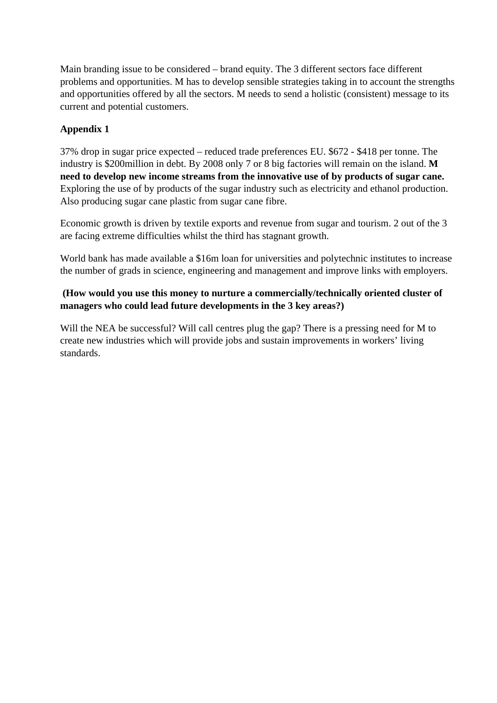Main branding issue to be considered – brand equity. The 3 different sectors face different problems and opportunities. M has to develop sensible strategies taking in to account the strengths and opportunities offered by all the sectors. M needs to send a holistic (consistent) message to its current and potential customers.

# **Appendix 1**

37% drop in sugar price expected – reduced trade preferences EU. \$672 - \$418 per tonne. The industry is \$200million in debt. By 2008 only 7 or 8 big factories will remain on the island. **M need to develop new income streams from the innovative use of by products of sugar cane.** Exploring the use of by products of the sugar industry such as electricity and ethanol production. Also producing sugar cane plastic from sugar cane fibre.

Economic growth is driven by textile exports and revenue from sugar and tourism. 2 out of the 3 are facing extreme difficulties whilst the third has stagnant growth.

World bank has made available a \$16m loan for universities and polytechnic institutes to increase the number of grads in science, engineering and management and improve links with employers.

## **(How would you use this money to nurture a commercially/technically oriented cluster of managers who could lead future developments in the 3 key areas?)**

Will the NEA be successful? Will call centres plug the gap? There is a pressing need for M to create new industries which will provide jobs and sustain improvements in workers' living standards.